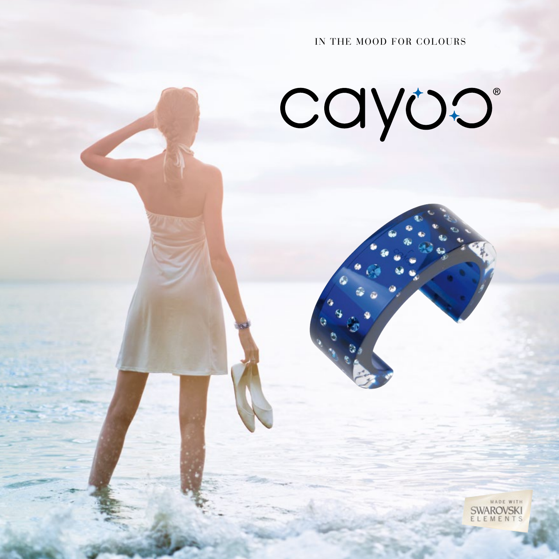IN THE MOOD FOR ColourS

cayoo

MADE WITH **SWAROVSKI** EMENTS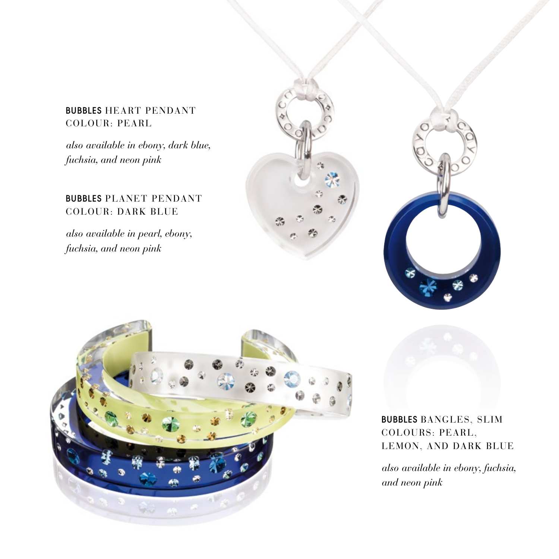## BUBBLES HEART PENDANT COlOuR: PEARl

*also available in ebony, dark blue, fuchsia, and neon pink*

# BUBBLES PlANET PENDANT COlOuR: DARk BluE

*also available in pearl, ebony, fuchsia, and neon pink*







BUBBLES BANGlES, SlIM COlOuRS: PEARl, lEMON, AND DARk BluE

*also available in ebony, fuchsia, and neon pink*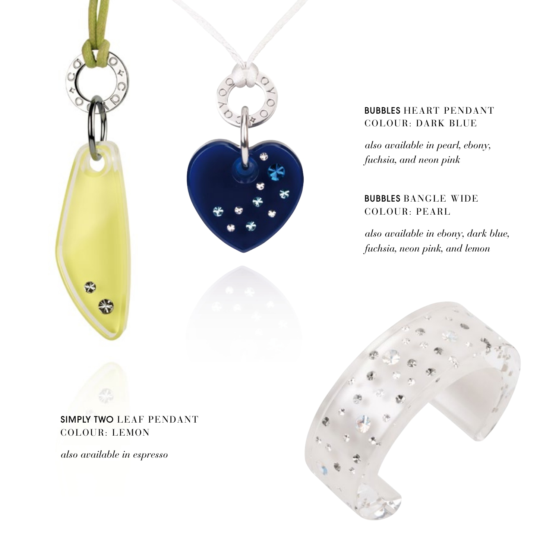



# BUBBLES HEART PENDANT COlOuR: DARk BluE

*also available in pearl, ebony, fuchsia, and neon pink*

# BUBBLES BANGlE WIDE COlOuR: PEARl

*also available in ebony, dark blue, fuchsia, neon pink, and lemon*



SIMPLY TWO LEAF PENDANT COlOuR: lEMON

*also available in espresso*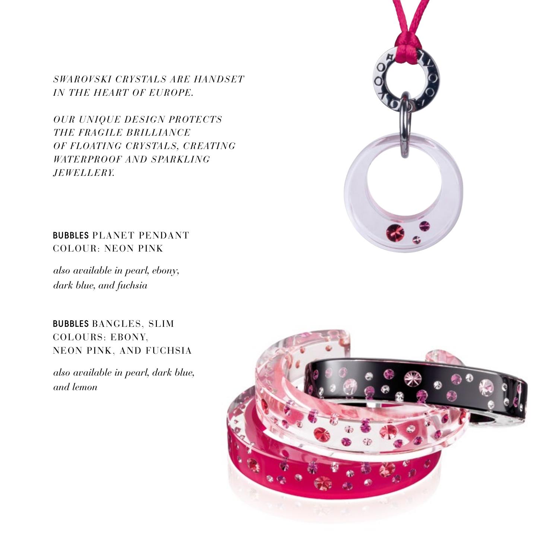*Swarovski crystals are handset IN THE HEART OF EUROPE.* 

*Our unique des ign protects* **THE FRAGILE BRILLIANCE** *OF FLOATING CRYSTALS, CREATING WATERPROOF AND SPARKLING j ewe lle ry.*



BUBBLES PLANET PENDANT COLOUR: neon pink

*also available in pearl, ebony, dark blue, and fuchsia*

# BUBBLES BANGLES, SLIM COLOURS: EBONY, NEON PINK, AND FUCHSIA

*also available in pearl, dark blue, and lemon*

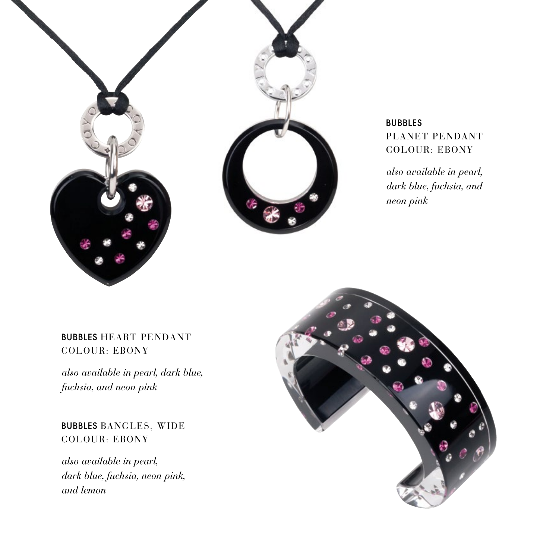

bUBBLES PLANET PENDANT COLOUR: EBONY

*also available in pearl, dark blue, fuchsia, and neon pink*

#### BUBBLES HEART PENDANT COLOUR: EBONY

*also available in pearl, dark blue, fuchsia, and neon pink*

BUBBLES BANGLES, WIDE COLOUR: EBONY

*also available in pearl, dark blue, fuchsia, neon pink, and lemon*

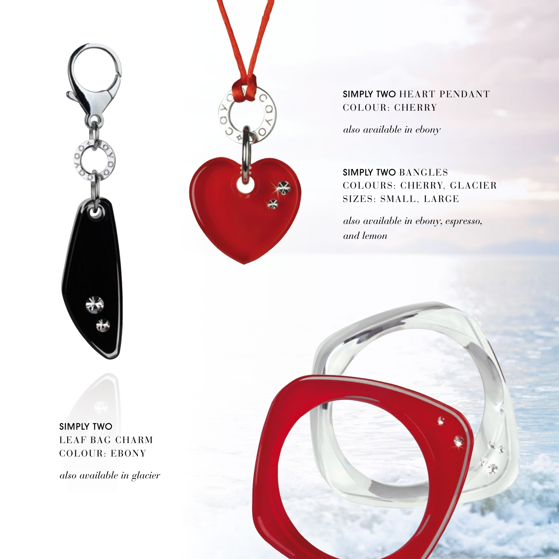



# SIMPLY TWO HEART PENDANT COlOuR: CHERRY

*also available in ebony*

SIMPLY TWO BANGlES COlOuRS: CHERRY, GlACIER SIZES: SMAll, lARGE

*also available in ebony, espresso, and lemon*

SIMPLY TWO lEAF BAG CHARM COlOuR: EBONY

*also available in glacier*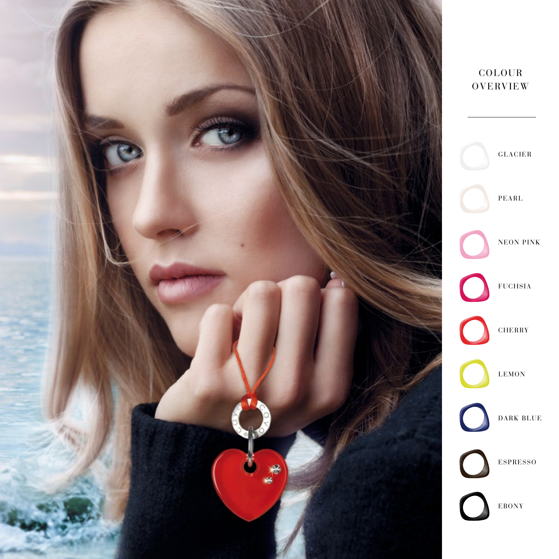